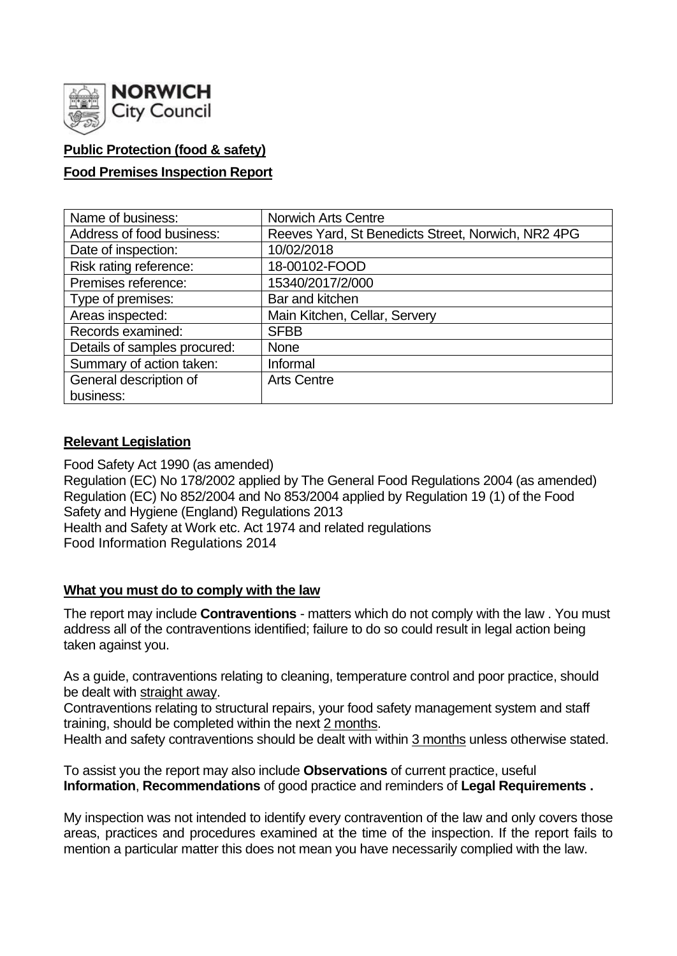

# **Public Protection (food & safety)**

### **Food Premises Inspection Report**

| Name of business:            | Norwich Arts Centre                                |
|------------------------------|----------------------------------------------------|
| Address of food business:    | Reeves Yard, St Benedicts Street, Norwich, NR2 4PG |
| Date of inspection:          | 10/02/2018                                         |
| Risk rating reference:       | 18-00102-FOOD                                      |
| Premises reference:          | 15340/2017/2/000                                   |
| Type of premises:            | Bar and kitchen                                    |
| Areas inspected:             | Main Kitchen, Cellar, Servery                      |
| Records examined:            | <b>SFBB</b>                                        |
| Details of samples procured: | None                                               |
| Summary of action taken:     | Informal                                           |
| General description of       | <b>Arts Centre</b>                                 |
| business:                    |                                                    |

### **Relevant Legislation**

Food Safety Act 1990 (as amended) Regulation (EC) No 178/2002 applied by The General Food Regulations 2004 (as amended) Regulation (EC) No 852/2004 and No 853/2004 applied by Regulation 19 (1) of the Food Safety and Hygiene (England) Regulations 2013 Health and Safety at Work etc. Act 1974 and related regulations Food Information Regulations 2014

### **What you must do to comply with the law**

The report may include **Contraventions** - matters which do not comply with the law . You must address all of the contraventions identified; failure to do so could result in legal action being taken against you.

As a guide, contraventions relating to cleaning, temperature control and poor practice, should be dealt with straight away.

Contraventions relating to structural repairs, your food safety management system and staff training, should be completed within the next 2 months.

Health and safety contraventions should be dealt with within 3 months unless otherwise stated.

To assist you the report may also include **Observations** of current practice, useful **Information**, **Recommendations** of good practice and reminders of **Legal Requirements .**

My inspection was not intended to identify every contravention of the law and only covers those areas, practices and procedures examined at the time of the inspection. If the report fails to mention a particular matter this does not mean you have necessarily complied with the law.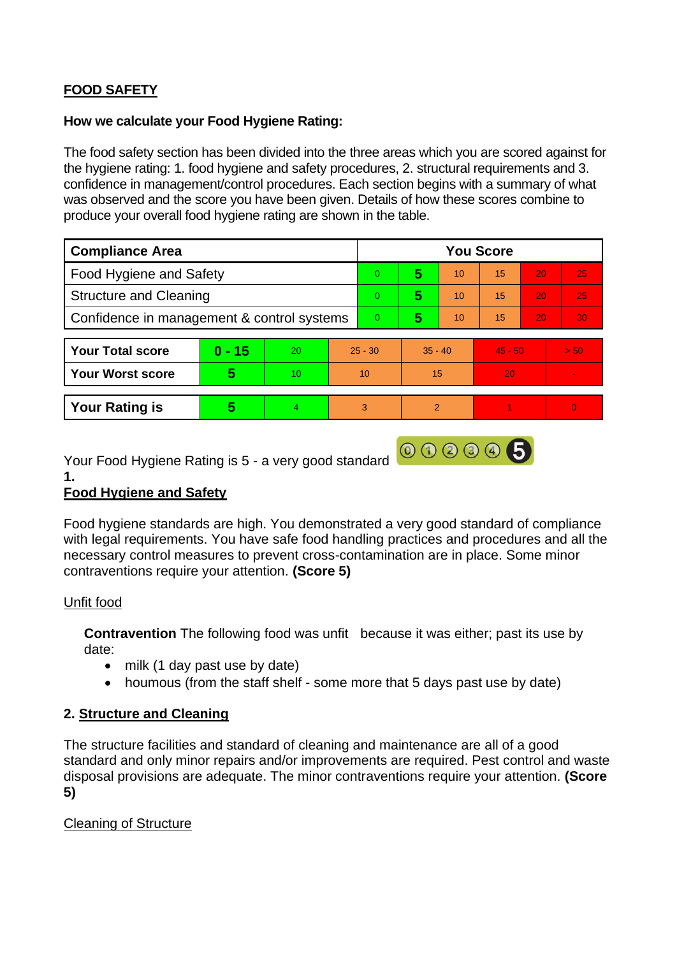# **FOOD SAFETY**

### **How we calculate your Food Hygiene Rating:**

The food safety section has been divided into the three areas which you are scored against for the hygiene rating: 1. food hygiene and safety procedures, 2. structural requirements and 3. confidence in management/control procedures. Each section begins with a summary of what was observed and the score you have been given. Details of how these scores combine to produce your overall food hygiene rating are shown in the table.

| <b>Compliance Area</b>                     |          |    |           | <b>You Score</b> |               |    |           |    |          |  |
|--------------------------------------------|----------|----|-----------|------------------|---------------|----|-----------|----|----------|--|
| <b>Food Hygiene and Safety</b>             |          |    |           | $\overline{0}$   | 5             | 10 | 15        | 20 | 25       |  |
| <b>Structure and Cleaning</b>              |          |    |           | $\overline{0}$   | 5             | 10 | 15        | 20 | 25       |  |
| Confidence in management & control systems |          |    |           | $\overline{0}$   | 5             | 10 | 15        | 20 | 30       |  |
|                                            |          |    |           |                  |               |    |           |    |          |  |
| <b>Your Total score</b>                    | $0 - 15$ | 20 | $25 - 30$ |                  | $35 - 40$     |    | $45 - 50$ |    | > 50     |  |
| <b>Your Worst score</b>                    | 5        | 10 | 10        |                  | 15            |    | 20        |    |          |  |
|                                            |          |    |           |                  |               |    |           |    |          |  |
| <b>Your Rating is</b>                      | 5        | 4  | 3         |                  | $\mathcal{P}$ |    |           |    | $\Omega$ |  |

Your Food Hygiene Rating is 5 - a very good standard **@ 3 3 4 5** 

**1.** 

# **Food Hygiene and Safety**

Food hygiene standards are high. You demonstrated a very good standard of compliance with legal requirements. You have safe food handling practices and procedures and all the necessary control measures to prevent cross-contamination are in place. Some minor contraventions require your attention. **(Score 5)**

# Unfit food

**Contravention** The following food was unfit because it was either; past its use by date:

- milk (1 day past use by date)
- houmous (from the staff shelf some more that 5 days past use by date)

# **2. Structure and Cleaning**

The structure facilities and standard of cleaning and maintenance are all of a good standard and only minor repairs and/or improvements are required. Pest control and waste disposal provisions are adequate. The minor contraventions require your attention. **(Score 5)**

# Cleaning of Structure